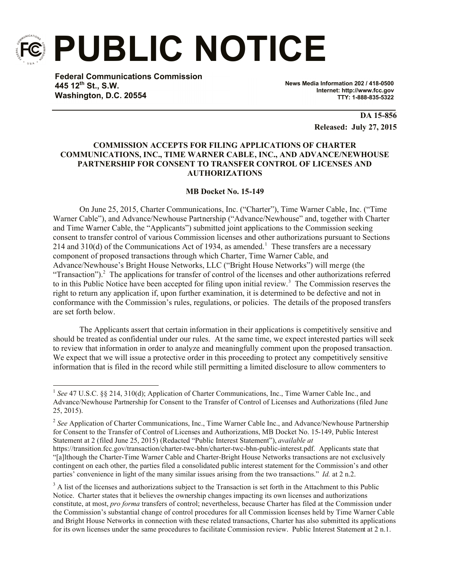

l

**PUBLIC NOTICE**

**Federal Communications Commission 445 12th St., S.W. Washington, D.C. 20554**

**News Media Information 202 / 418-0500 Internet: http://www.fcc.gov TTY: 1-888-835-5322**

> **DA 15-856 Released: July 27, 2015**

# **COMMISSION ACCEPTS FOR FILING APPLICATIONS OF CHARTER COMMUNICATIONS, INC., TIME WARNER CABLE, INC., AND ADVANCE/NEWHOUSE PARTNERSHIP FOR CONSENT TO TRANSFER CONTROL OF LICENSES AND AUTHORIZATIONS**

**MB Docket No. 15-149**

On June 25, 2015, Charter Communications, Inc. ("Charter"), Time Warner Cable, Inc. ("Time Warner Cable"), and Advance/Newhouse Partnership ("Advance/Newhouse" and, together with Charter and Time Warner Cable, the "Applicants") submitted joint applications to the Commission seeking consent to transfer control of various Commission licenses and other authorizations pursuant to Sections 214 and 310(d) of the Communications Act of 1934, as amended.<sup>1</sup> These transfers are a necessary component of proposed transactions through which Charter, Time Warner Cable, and Advance/Newhouse's Bright House Networks, LLC ("Bright House Networks") will merge (the "Transaction").<sup>2</sup> The applications for transfer of control of the licenses and other authorizations referred to in this Public Notice have been accepted for filing upon initial review.<sup>3</sup> The Commission reserves the right to return any application if, upon further examination, it is determined to be defective and not in conformance with the Commission's rules, regulations, or policies. The details of the proposed transfers are set forth below.

The Applicants assert that certain information in their applications is competitively sensitive and should be treated as confidential under our rules. At the same time, we expect interested parties will seek to review that information in order to analyze and meaningfully comment upon the proposed transaction. We expect that we will issue a protective order in this proceeding to protect any competitively sensitive information that is filed in the record while still permitting a limited disclosure to allow commenters to

<sup>&</sup>lt;sup>1</sup> See 47 U.S.C. §§ 214, 310(d); Application of Charter Communications, Inc., Time Warner Cable Inc., and Advance/Newhouse Partnership for Consent to the Transfer of Control of Licenses and Authorizations (filed June 25, 2015).

<sup>&</sup>lt;sup>2</sup> See Application of Charter Communications, Inc., Time Warner Cable Inc., and Advance/Newhouse Partnership for Consent to the Transfer of Control of Licenses and Authorizations, MB Docket No. 15-149, Public Interest Statement at 2 (filed June 25, 2015) (Redacted "Public Interest Statement"), *available at*

https://transition.fcc.gov/transaction/charter-twc-bhn/charter-twc-bhn-public-interest.pdf. Applicants state that "[a]lthough the Charter-Time Warner Cable and Charter-Bright House Networks transactions are not exclusively contingent on each other, the parties filed a consolidated public interest statement for the Commission's and other parties' convenience in light of the many similar issues arising from the two transactions." *Id.* at 2 n.2.

<sup>&</sup>lt;sup>3</sup> A list of the licenses and authorizations subject to the Transaction is set forth in the Attachment to this Public Notice. Charter states that it believes the ownership changes impacting its own licenses and authorizations constitute, at most, *pro forma* transfers of control; nevertheless, because Charter has filed at the Commission under the Commission's substantial change of control procedures for all Commission licenses held by Time Warner Cable and Bright House Networks in connection with these related transactions, Charter has also submitted its applications for its own licenses under the same procedures to facilitate Commission review. Public Interest Statement at 2 n.1.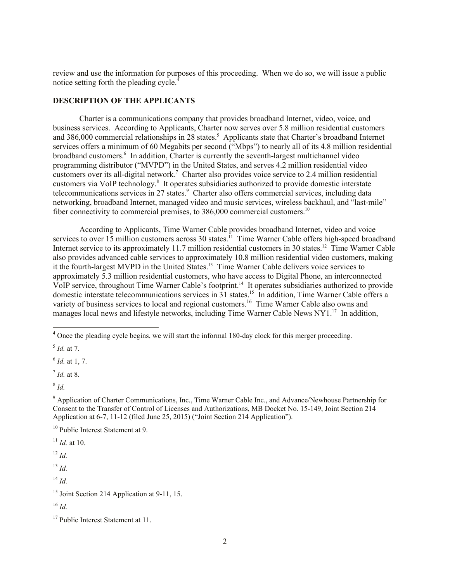review and use the information for purposes of this proceeding. When we do so, we will issue a public notice setting forth the pleading cycle.<sup>4</sup>

#### **DESCRIPTION OF THE APPLICANTS**

Charter is a communications company that provides broadband Internet, video, voice, and business services. According to Applicants, Charter now serves over 5.8 million residential customers and 386,000 commercial relationships in 28 states.<sup>5</sup> Applicants state that Charter's broadband Internet services offers a minimum of 60 Megabits per second ("Mbps") to nearly all of its 4.8 million residential broadband customers.<sup>6</sup> In addition, Charter is currently the seventh-largest multichannel video programming distributor ("MVPD") in the United States, and serves 4.2 million residential video customers over its all-digital network.<sup>7</sup> Charter also provides voice service to 2.4 million residential customers via VoIP technology.<sup>8</sup> It operates subsidiaries authorized to provide domestic interstate telecommunications services in 27 states.<sup>9</sup> Charter also offers commercial services, including data networking, broadband Internet, managed video and music services, wireless backhaul, and "last-mile" fiber connectivity to commercial premises, to 386,000 commercial customers.<sup>10</sup>

According to Applicants, Time Warner Cable provides broadband Internet, video and voice services to over 15 million customers across 30 states.<sup>11</sup> Time Warner Cable offers high-speed broadband Internet service to its approximately 11.7 million residential customers in 30 states.<sup>12</sup> Time Warner Cable also provides advanced cable services to approximately 10.8 million residential video customers, making it the fourth-largest MVPD in the United States.<sup>13</sup> Time Warner Cable delivers voice services to approximately 5.3 million residential customers, who have access to Digital Phone, an interconnected VoIP service, throughout Time Warner Cable's footprint.<sup>14</sup> It operates subsidiaries authorized to provide domestic interstate telecommunications services in 31 states.<sup>15</sup> In addition, Time Warner Cable offers a variety of business services to local and regional customers.<sup>16</sup> Time Warner Cable also owns and manages local news and lifestyle networks, including Time Warner Cable News NY1.<sup>17</sup> In addition,

l

7 *Id.* at 8.

 $11$  *Id.* at 10.

 $12 \, Id.$ 

<sup>13</sup> *Id.*

 $^{14}$  *Id.* 

<sup>&</sup>lt;sup>4</sup> Once the pleading cycle begins, we will start the informal 180-day clock for this merger proceeding.

<sup>5</sup> *Id.* at 7.

<sup>6</sup> *Id.* at 1, 7.

<sup>8</sup> *Id.*

<sup>&</sup>lt;sup>9</sup> Application of Charter Communications, Inc., Time Warner Cable Inc., and Advance/Newhouse Partnership for Consent to the Transfer of Control of Licenses and Authorizations, MB Docket No. 15-149, Joint Section 214 Application at 6-7, 11-12 (filed June 25, 2015) ("Joint Section 214 Application").

<sup>&</sup>lt;sup>10</sup> Public Interest Statement at 9.

<sup>&</sup>lt;sup>15</sup> Joint Section 214 Application at 9-11, 15.

<sup>16</sup> *Id.*

<sup>&</sup>lt;sup>17</sup> Public Interest Statement at 11.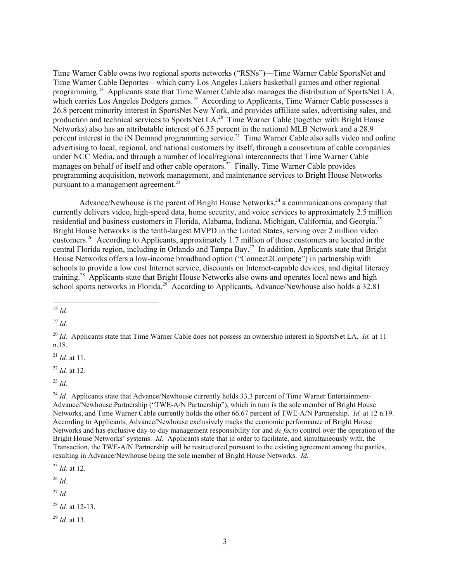Time Warner Cable owns two regional sports networks ("RSNs")—Time Warner Cable SportsNet and Time Warner Cable Deportes—which carry Los Angeles Lakers basketball games and other regional programming.<sup>18</sup> Applicants state that Time Warner Cable also manages the distribution of SportsNet LA, which carries Los Angeles Dodgers games.<sup>19</sup> According to Applicants, Time Warner Cable possesses a 26.8 percent minority interest in SportsNet New York, and provides affiliate sales, advertising sales, and production and technical services to SportsNet LA.<sup>20</sup> Time Warner Cable (together with Bright House Networks) also has an attributable interest of 6.35 percent in the national MLB Network and a 28.9 percent interest in the iN Demand programming service.<sup>21</sup> Time Warner Cable also sells video and online advertising to local, regional, and national customers by itself, through a consortium of cable companies under NCC Media, and through a number of local/regional interconnects that Time Warner Cable manages on behalf of itself and other cable operators.<sup>22</sup> Finally, Time Warner Cable provides programming acquisition, network management, and maintenance services to Bright House Networks pursuant to a management agreement.<sup>23</sup>

Advance/Newhouse is the parent of Bright House Networks,  $24$  a communications company that currently delivers video, high-speed data, home security, and voice services to approximately 2.5 million residential and business customers in Florida, Alabama, Indiana, Michigan, California, and Georgia.<sup>25</sup> Bright House Networks is the tenth-largest MVPD in the United States, serving over 2 million video customers.<sup>26</sup> According to Applicants, approximately 1.7 million of those customers are located in the central Florida region, including in Orlando and Tampa Bay.<sup>27</sup> In addition, Applicants state that Bright House Networks offers a low-income broadband option ("Connect2Compete") in partnership with schools to provide a low cost Internet service, discounts on Internet-capable devices, and digital literacy training.<sup>28</sup> Applicants state that Bright House Networks also owns and operates local news and high school sports networks in Florida.<sup>29</sup> According to Applicants, Advance/Newhouse also holds a 32.81

<sup>19</sup> *Id.*

<sup>21</sup> *Id.* at 11.

<sup>22</sup> *Id.* at 12.

<sup>23</sup> *Id.*

<sup>24</sup> *Id.* Applicants state that Advance/Newhouse currently holds 33.3 percent of Time Warner Entertainment-Advance/Newhouse Partnership ("TWE-A/N Partnership"), which in turn is the sole member of Bright House Networks, and Time Warner Cable currently holds the other 66.67 percent of TWE-A/N Partnership. *Id.* at 12 n.19. According to Applicants, Advance/Newhouse exclusively tracks the economic performance of Bright House Networks and has exclusive day-to-day management responsibility for and *de facto* control over the operation of the Bright House Networks' systems. *Id.* Applicants state that in order to facilitate, and simultaneously with, the Transaction, the TWE-A/N Partnership will be restructured pursuant to the existing agreement among the parties, resulting in Advance/Newhouse being the sole member of Bright House Networks. *Id.*

<sup>25</sup> *Id.* at 12.

<sup>26</sup> *Id.*

<sup>27</sup> *Id.*

<sup>28</sup> *Id.* at 12-13.

<sup>29</sup> *Id.* at 13.

 $\overline{a}$ <sup>18</sup> *Id.*

<sup>20</sup> *Id.* Applicants state that Time Warner Cable does not possess an ownership interest in SportsNet LA. *Id.* at 11 n.18.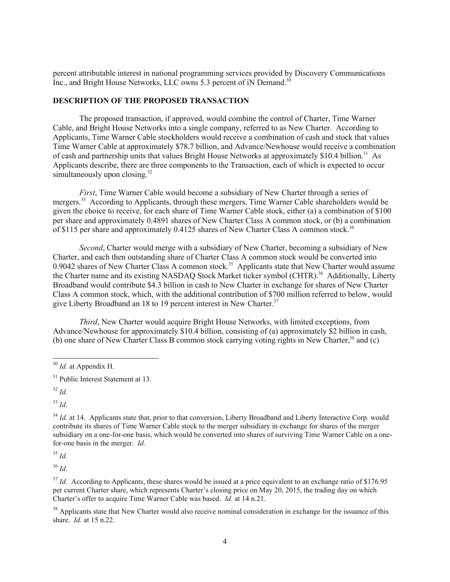percent attributable interest in national programming services provided by Discovery Communications Inc., and Bright House Networks, LLC owns 5.3 percent of iN Demand.<sup>30</sup>

## **DESCRIPTION OF THE PROPOSED TRANSACTION**

The proposed transaction, if approved, would combine the control of Charter, Time Warner Cable, and Bright House Networks into a single company, referred to as New Charter. According to Applicants, Time Warner Cable stockholders would receive a combination of cash and stock that values Time Warner Cable at approximately \$78.7 billion, and Advance/Newhouse would receive a combination of cash and partnership units that values Bright House Networks at approximately \$10.4 billion.<sup>31</sup> As Applicants describe, there are three components to the Transaction, each of which is expected to occur simultaneously upon closing. $32$ 

*First*, Time Warner Cable would become a subsidiary of New Charter through a series of mergers.<sup>33</sup> According to Applicants, through these mergers, Time Warner Cable shareholders would be given the choice to receive, for each share of Time Warner Cable stock, either (a) a combination of \$100 per share and approximately 0.4891 shares of New Charter Class A common stock, or (b) a combination of \$115 per share and approximately 0.4125 shares of New Charter Class A common stock.<sup>34</sup>

*Second*, Charter would merge with a subsidiary of New Charter, becoming a subsidiary of New Charter, and each then outstanding share of Charter Class A common stock would be converted into 0.9042 shares of New Charter Class A common stock.<sup>35</sup> Applicants state that New Charter would assume the Charter name and its existing NASDAQ Stock Market ticker symbol (CHTR).<sup>36</sup> Additionally, Liberty Broadband would contribute \$4.3 billion in cash to New Charter in exchange for shares of New Charter Class A common stock, which, with the additional contribution of \$700 million referred to below, would give Liberty Broadband an 18 to 19 percent interest in New Charter.<sup>37</sup>

*Third*, New Charter would acquire Bright House Networks, with limited exceptions, from Advance/Newhouse for approximately \$10.4 billion, consisting of (a) approximately \$2 billion in cash, (b) one share of New Charter Class B common stock carrying voting rights in New Charter,<sup>38</sup> and (c)

l

 $33$  *Id.* 

<sup>35</sup> *Id.*

<sup>36</sup> *Id.*

<sup>37</sup> *Id.* According to Applicants, these shares would be issued at a price equivalent to an exchange ratio of \$176.95 per current Charter share, which represents Charter's closing price on May 20, 2015, the trading day on which Charter's offer to acquire Time Warner Cable was based. *Id.* at 14 n.21.

<sup>38</sup> Applicants state that New Charter would also receive nominal consideration in exchange for the issuance of this share. *Id.* at 15 n.22.

<sup>30</sup> *Id.* at Appendix H.

 $31$  Public Interest Statement at 13.

<sup>32</sup> *Id.*

<sup>&</sup>lt;sup>34</sup> *Id.* at 14. Applicants state that, prior to that conversion, Liberty Broadband and Liberty Interactive Corp. would contribute its shares of Time Warner Cable stock to the merger subsidiary in exchange for shares of the merger subsidiary on a one-for-one basis, which would be converted into shares of surviving Time Warner Cable on a onefor-one basis in the merger. *Id.*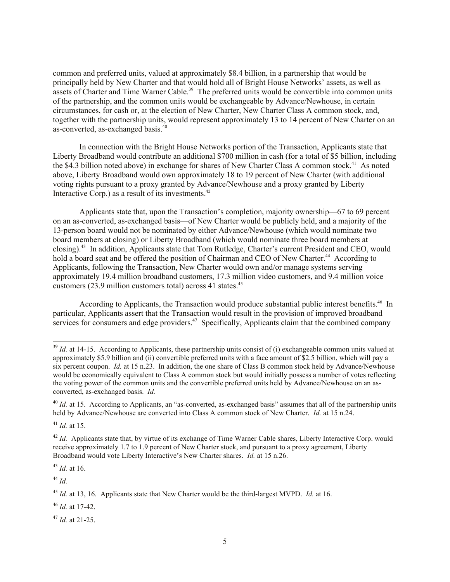common and preferred units, valued at approximately \$8.4 billion, in a partnership that would be principally held by New Charter and that would hold all of Bright House Networks' assets, as well as assets of Charter and Time Warner Cable.<sup>39</sup> The preferred units would be convertible into common units of the partnership, and the common units would be exchangeable by Advance/Newhouse, in certain circumstances, for cash or, at the election of New Charter, New Charter Class A common stock, and, together with the partnership units, would represent approximately 13 to 14 percent of New Charter on an as-converted, as-exchanged basis.<sup>40</sup>

In connection with the Bright House Networks portion of the Transaction, Applicants state that Liberty Broadband would contribute an additional \$700 million in cash (for a total of \$5 billion, including the \$4.3 billion noted above) in exchange for shares of New Charter Class A common stock.<sup>41</sup> As noted above, Liberty Broadband would own approximately 18 to 19 percent of New Charter (with additional voting rights pursuant to a proxy granted by Advance/Newhouse and a proxy granted by Liberty Interactive Corp.) as a result of its investments.<sup>42</sup>

Applicants state that, upon the Transaction's completion, majority ownership—67 to 69 percent on an as-converted, as-exchanged basis—of New Charter would be publicly held, and a majority of the 13-person board would not be nominated by either Advance/Newhouse (which would nominate two board members at closing) or Liberty Broadband (which would nominate three board members at closing).<sup>43</sup> In addition, Applicants state that Tom Rutledge, Charter's current President and CEO, would hold a board seat and be offered the position of Chairman and CEO of New Charter.<sup>44</sup> According to Applicants, following the Transaction, New Charter would own and/or manage systems serving approximately 19.4 million broadband customers, 17.3 million video customers, and 9.4 million voice customers (23.9 million customers total) across 41 states.<sup>45</sup>

According to Applicants, the Transaction would produce substantial public interest benefits.<sup>46</sup> In particular, Applicants assert that the Transaction would result in the provision of improved broadband services for consumers and edge providers.<sup>47</sup> Specifically, Applicants claim that the combined company

<sup>41</sup> *Id.* at 15.

 $\overline{\phantom{a}}$ 

<sup>43</sup> *Id.* at 16.

<sup>44</sup> *Id.*

<sup>46</sup> *Id.* at 17-42.

<sup>47</sup> *Id.* at 21-25.

<sup>&</sup>lt;sup>39</sup> *Id.* at 14-15. According to Applicants, these partnership units consist of (i) exchangeable common units valued at approximately \$5.9 billion and (ii) convertible preferred units with a face amount of \$2.5 billion, which will pay a six percent coupon. *Id.* at 15 n.23. In addition, the one share of Class B common stock held by Advance/Newhouse would be economically equivalent to Class A common stock but would initially possess a number of votes reflecting the voting power of the common units and the convertible preferred units held by Advance/Newhouse on an asconverted, as-exchanged basis. *Id.*

<sup>&</sup>lt;sup>40</sup> *Id.* at 15. According to Applicants, an "as-converted, as-exchanged basis" assumes that all of the partnership units held by Advance/Newhouse are converted into Class A common stock of New Charter. *Id.* at 15 n.24.

<sup>&</sup>lt;sup>42</sup> *Id.* Applicants state that, by virtue of its exchange of Time Warner Cable shares. Liberty Interactive Corp. would receive approximately 1.7 to 1.9 percent of New Charter stock, and pursuant to a proxy agreement, Liberty Broadband would vote Liberty Interactive's New Charter shares. *Id.* at 15 n.26.

<sup>45</sup> *Id.* at 13, 16.Applicants state that New Charter would be the third-largest MVPD. *Id.* at 16.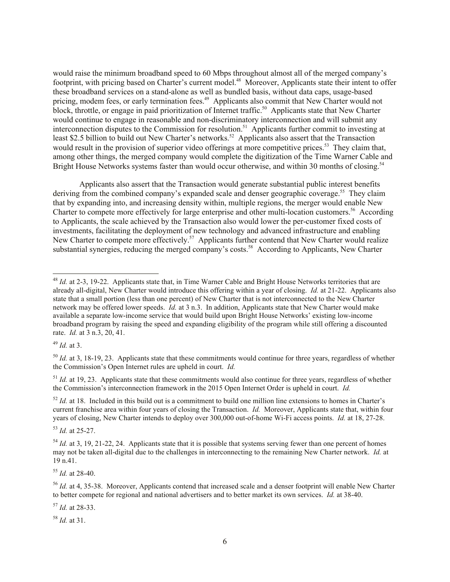would raise the minimum broadband speed to 60 Mbps throughout almost all of the merged company's footprint, with pricing based on Charter's current model.<sup>48</sup> Moreover, Applicants state their intent to offer these broadband services on a stand-alone as well as bundled basis, without data caps, usage-based pricing, modem fees, or early termination fees.<sup>49</sup> Applicants also commit that New Charter would not block, throttle, or engage in paid prioritization of Internet traffic.<sup>50</sup> Applicants state that New Charter would continue to engage in reasonable and non-discriminatory interconnection and will submit any interconnection disputes to the Commission for resolution.<sup>51</sup> Applicants further commit to investing at least \$2.5 billion to build out New Charter's networks.<sup>52</sup> Applicants also assert that the Transaction would result in the provision of superior video offerings at more competitive prices.<sup>53</sup> They claim that, among other things, the merged company would complete the digitization of the Time Warner Cable and Bright House Networks systems faster than would occur otherwise, and within 30 months of closing.<sup>54</sup>

Applicants also assert that the Transaction would generate substantial public interest benefits deriving from the combined company's expanded scale and denser geographic coverage.<sup>55</sup> They claim that by expanding into, and increasing density within, multiple regions, the merger would enable New Charter to compete more effectively for large enterprise and other multi-location customers.<sup>56</sup> According to Applicants, the scale achieved by the Transaction also would lower the per-customer fixed costs of investments, facilitating the deployment of new technology and advanced infrastructure and enabling New Charter to compete more effectively.<sup>57</sup> Applicants further contend that New Charter would realize substantial synergies, reducing the merged company's costs.<sup>58</sup> According to Applicants, New Charter

<sup>49</sup> *Id.* at 3.

 $\overline{\phantom{a}}$ 

 $<sup>51</sup>$  *Id.* at 19, 23. Applicants state that these commitments would also continue for three years, regardless of whether</sup> the Commission's interconnection framework in the 2015 Open Internet Order is upheld in court. *Id.*

 $52$  *Id.* at 18. Included in this build out is a commitment to build one million line extensions to homes in Charter's current franchise area within four years of closing the Transaction. *Id.* Moreover, Applicants state that, within four years of closing, New Charter intends to deploy over 300,000 out-of-home Wi-Fi access points. *Id.* at 18, 27-28.

<sup>53</sup> *Id.* at 25-27.

<sup>55</sup> *Id.* at 28-40.

<sup>57</sup> *Id.* at 28-33.

<sup>58</sup> *Id.* at 31.

<sup>&</sup>lt;sup>48</sup> *Id.* at 2-3, 19-22. Applicants state that, in Time Warner Cable and Bright House Networks territories that are already all-digital, New Charter would introduce this offering within a year of closing. *Id.* at 21-22. Applicants also state that a small portion (less than one percent) of New Charter that is not interconnected to the New Charter network may be offered lower speeds. *Id.* at 3 n.3. In addition, Applicants state that New Charter would make available a separate low-income service that would build upon Bright House Networks' existing low-income broadband program by raising the speed and expanding eligibility of the program while still offering a discounted rate. *Id.* at 3 n.3, 20, 41.

<sup>&</sup>lt;sup>50</sup> *Id.* at 3, 18-19, 23. Applicants state that these commitments would continue for three years, regardless of whether the Commission's Open Internet rules are upheld in court. *Id.*

<sup>&</sup>lt;sup>54</sup> *Id.* at 3, 19, 21-22, 24. Applicants state that it is possible that systems serving fewer than one percent of homes may not be taken all-digital due to the challenges in interconnecting to the remaining New Charter network. *Id.* at 19 n.41.

<sup>56</sup> *Id.* at 4, 35-38. Moreover, Applicants contend that increased scale and a denser footprint will enable New Charter to better compete for regional and national advertisers and to better market its own services. *Id.* at 38-40.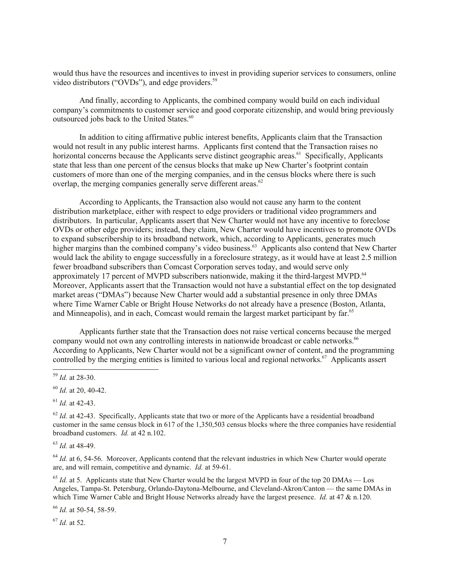would thus have the resources and incentives to invest in providing superior services to consumers, online video distributors ("OVDs"), and edge providers.<sup>59</sup>

And finally, according to Applicants, the combined company would build on each individual company's commitments to customer service and good corporate citizenship, and would bring previously outsourced jobs back to the United States.<sup>60</sup>

In addition to citing affirmative public interest benefits, Applicants claim that the Transaction would not result in any public interest harms. Applicants first contend that the Transaction raises no horizontal concerns because the Applicants serve distinct geographic areas.<sup>61</sup> Specifically, Applicants state that less than one percent of the census blocks that make up New Charter's footprint contain customers of more than one of the merging companies, and in the census blocks where there is such overlap, the merging companies generally serve different areas.<sup>62</sup>

According to Applicants, the Transaction also would not cause any harm to the content distribution marketplace, either with respect to edge providers or traditional video programmers and distributors. In particular, Applicants assert that New Charter would not have any incentive to foreclose OVDs or other edge providers; instead, they claim, New Charter would have incentives to promote OVDs to expand subscribership to its broadband network, which, according to Applicants, generates much higher margins than the combined company's video business.<sup>63</sup> Applicants also contend that New Charter would lack the ability to engage successfully in a foreclosure strategy, as it would have at least 2.5 million fewer broadband subscribers than Comcast Corporation serves today, and would serve only approximately 17 percent of MVPD subscribers nationwide, making it the third-largest MVPD.<sup>64</sup> Moreover, Applicants assert that the Transaction would not have a substantial effect on the top designated market areas ("DMAs") because New Charter would add a substantial presence in only three DMAs where Time Warner Cable or Bright House Networks do not already have a presence (Boston, Atlanta, and Minneapolis), and in each, Comcast would remain the largest market participant by far.<sup>65</sup>

Applicants further state that the Transaction does not raise vertical concerns because the merged company would not own any controlling interests in nationwide broadcast or cable networks.<sup>66</sup> According to Applicants, New Charter would not be a significant owner of content, and the programming controlled by the merging entities is limited to various local and regional networks.<sup>67</sup> Applicants assert

 $\overline{\phantom{a}}$ 

<sup>61</sup> *Id.* at 42-43.

<sup>63</sup> *Id.* at 48-49.

<sup>64</sup> *Id.* at 6, 54-56. Moreover, Applicants contend that the relevant industries in which New Charter would operate are, and will remain, competitive and dynamic. *Id.* at 59-61.

 $^{65}$  *Id.* at 5. Applicants state that New Charter would be the largest MVPD in four of the top 20 DMAs — Los Angeles, Tampa-St. Petersburg, Orlando-Daytona-Melbourne, and Cleveland-Akron/Canton — the same DMAs in which Time Warner Cable and Bright House Networks already have the largest presence. *Id.* at 47 & n.120.

<sup>66</sup> *Id.* at 50-54, 58-59.

<sup>67</sup> *Id.* at 52.

<sup>59</sup> *Id.* at 28-30.

<sup>60</sup> *Id.* at 20, 40-42.

 $62$  *Id.* at 42-43. Specifically, Applicants state that two or more of the Applicants have a residential broadband customer in the same census block in 617 of the 1,350,503 census blocks where the three companies have residential broadband customers. *Id.* at 42 n.102.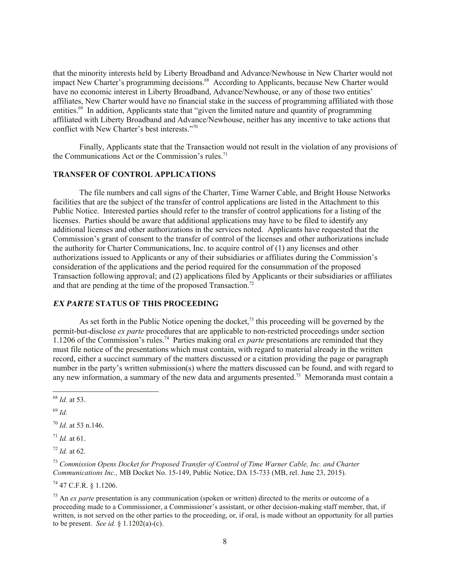that the minority interests held by Liberty Broadband and Advance/Newhouse in New Charter would not impact New Charter's programming decisions.<sup>68</sup> According to Applicants, because New Charter would have no economic interest in Liberty Broadband, Advance/Newhouse, or any of those two entities' affiliates, New Charter would have no financial stake in the success of programming affiliated with those entities.<sup>69</sup> In addition, Applicants state that "given the limited nature and quantity of programming affiliated with Liberty Broadband and Advance/Newhouse, neither has any incentive to take actions that conflict with New Charter's best interests."<sup>70</sup>

Finally, Applicants state that the Transaction would not result in the violation of any provisions of the Communications Act or the Commission's rules.<sup>71</sup>

### **TRANSFER OF CONTROL APPLICATIONS**

The file numbers and call signs of the Charter, Time Warner Cable, and Bright House Networks facilities that are the subject of the transfer of control applications are listed in the Attachment to this Public Notice. Interested parties should refer to the transfer of control applications for a listing of the licenses. Parties should be aware that additional applications may have to be filed to identify any additional licenses and other authorizations in the services noted. Applicants have requested that the Commission's grant of consent to the transfer of control of the licenses and other authorizations include the authority for Charter Communications, Inc. to acquire control of (1) any licenses and other authorizations issued to Applicants or any of their subsidiaries or affiliates during the Commission's consideration of the applications and the period required for the consummation of the proposed Transaction following approval; and (2) applications filed by Applicants or their subsidiaries or affiliates and that are pending at the time of the proposed Transaction.<sup>72</sup>

## **EX PARTE STATUS OF THIS PROCEEDING**

As set forth in the Public Notice opening the docket,<sup>73</sup> this proceeding will be governed by the permit-but-disclose *ex parte* procedures that are applicable to non-restricted proceedings under section 1.1206 of the Commission's rules.<sup>74</sup> Parties making oral *ex parte* presentations are reminded that they must file notice of the presentations which must contain, with regard to material already in the written record, either a succinct summary of the matters discussed or a citation providing the page or paragraph number in the party's written submission(s) where the matters discussed can be found, and with regard to any new information, a summary of the new data and arguments presented.<sup>75</sup> Memoranda must contain a

 $\overline{\phantom{a}}$ 

 $^{72}$  *Id.* at 62.

<sup>73</sup> *Commission Opens Docket for Proposed Transfer of Control of Time Warner Cable, Inc. and Charter Communications Inc.,* MB Docket No. 15-149, Public Notice, DA 15-733 (MB, rel. June 23, 2015).

<sup>74</sup> 47 C.F.R. § 1.1206.

<sup>75</sup> An *ex parte* presentation is any communication (spoken or written) directed to the merits or outcome of a proceeding made to a Commissioner, a Commissioner's assistant, or other decision-making staff member, that, if written, is not served on the other parties to the proceeding, or, if oral, is made without an opportunity for all parties to be present. *See id.* § 1.1202(a)-(c).

<sup>68</sup> *Id.* at 53.

<sup>69</sup> *Id.*

<sup>70</sup> *Id.* at 53 n.146.

<sup>71</sup> *Id.* at 61.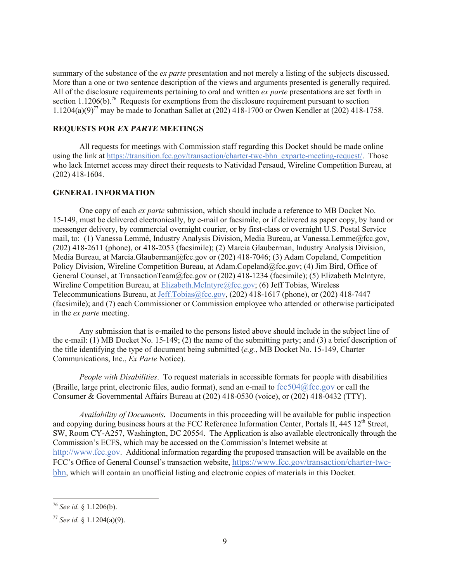summary of the substance of the *ex parte* presentation and not merely a listing of the subjects discussed. More than a one or two sentence description of the views and arguments presented is generally required. All of the disclosure requirements pertaining to oral and written *ex parte* presentations are set forth in section  $1.1206(b)$ .<sup>76</sup> Requests for exemptions from the disclosure requirement pursuant to section 1.1204(a)(9)<sup>77</sup> may be made to Jonathan Sallet at (202) 418-1700 or Owen Kendler at (202) 418-1758.

#### **REQUESTS FOR EX PARTE MEETINGS**

All requests for meetings with Commission staff regarding this Docket should be made online using the link at https://transition.fcc.gov/transaction/charter-twc-bhn\_exparte-meeting-request/. Those who lack Internet access may direct their requests to Natividad Persaud, Wireline Competition Bureau, at (202) 418-1604.

### **GENERAL INFORMATION**

One copy of each *ex parte* submission, which should include a reference to MB Docket No. 15-149, must be delivered electronically, by e-mail or facsimile, or if delivered as paper copy, by hand or messenger delivery, by commercial overnight courier, or by first-class or overnight U.S. Postal Service mail, to: (1) Vanessa Lemmé, Industry Analysis Division, Media Bureau, at Vanessa.Lemme@fcc.gov, (202) 418-2611 (phone), or 418-2053 (facsimile); (2) Marcia Glauberman, Industry Analysis Division, Media Bureau, at Marcia.Glauberman@fcc.gov or (202) 418-7046; (3) Adam Copeland, Competition Policy Division, Wireline Competition Bureau, at Adam.Copeland@fcc.gov; (4) Jim Bird, Office of General Counsel, at TransactionTeam@fcc.gov or (202) 418-1234 (facsimile); (5) Elizabeth McIntyre, Wireline Competition Bureau, at Elizabeth.McIntyre@fcc.gov; (6) Jeff Tobias, Wireless Telecommunications Bureau, at Jeff.Tobias@fcc.gov, (202) 418-1617 (phone), or (202) 418-7447 (facsimile); and (7) each Commissioner or Commission employee who attended or otherwise participated in the *ex parte* meeting.

Any submission that is e-mailed to the persons listed above should include in the subject line of the e-mail: (1) MB Docket No. 15-149; (2) the name of the submitting party; and (3) a brief description of the title identifying the type of document being submitted (*e.g.*, MB Docket No. 15-149, Charter Communications, Inc., *Ex Parte* Notice).

*People with Disabilities*. To request materials in accessible formats for people with disabilities (Braille, large print, electronic files, audio format), send an e-mail to  $fcc504@$  fcc.gov or call the Consumer & Governmental Affairs Bureau at (202) 418-0530 (voice), or (202) 418-0432 (TTY).

*Availability of Documents.* Documents in this proceeding will be available for public inspection and copying during business hours at the FCC Reference Information Center, Portals II, 445 12<sup>th</sup> Street, SW, Room CY-A257, Washington, DC 20554. The Application is also available electronically through the Commission's ECFS, which may be accessed on the Commission's Internet website at http://www.fcc.gov. Additional information regarding the proposed transaction will be available on the FCC's Office of General Counsel's transaction website, https://www.fcc.gov/transaction/charter-twcbhn, which will contain an unofficial listing and electronic copies of materials in this Docket.

 $\overline{a}$ 

<sup>76</sup> *See id.* § 1.1206(b).

<sup>77</sup> *See id.* § 1.1204(a)(9).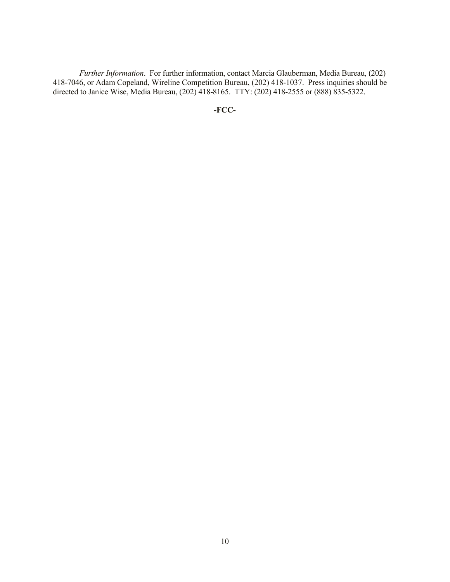*Further Information*. For further information, contact Marcia Glauberman, Media Bureau, (202) 418-7046, or Adam Copeland, Wireline Competition Bureau, (202) 418-1037. Press inquiries should be directed to Janice Wise, Media Bureau, (202) 418-8165. TTY: (202) 418-2555 or (888) 835-5322.

**-FCC-**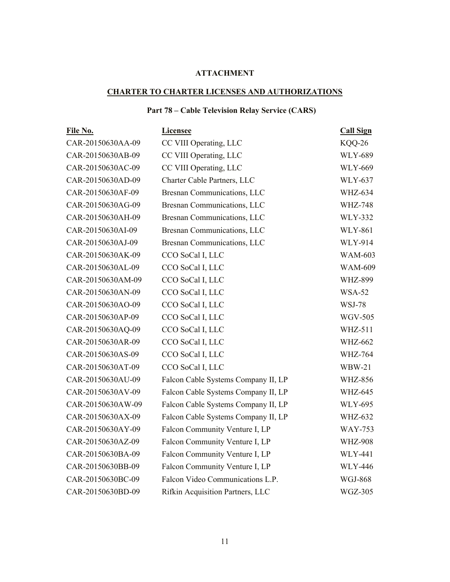# **ATTACHMENT**

# **CHARTER TO CHARTER LICENSES AND AUTHORIZATIONS**

# **Part 78 – Cable Television Relay Service (CARS)**

| File No.          | <b>Licensee</b>                     | <b>Call Sign</b> |
|-------------------|-------------------------------------|------------------|
| CAR-20150630AA-09 | CC VIII Operating, LLC              | KQQ-26           |
| CAR-20150630AB-09 | CC VIII Operating, LLC              | <b>WLY-689</b>   |
| CAR-20150630AC-09 | CC VIII Operating, LLC              | <b>WLY-669</b>   |
| CAR-20150630AD-09 | Charter Cable Partners, LLC         | <b>WLY-637</b>   |
| CAR-20150630AF-09 | Bresnan Communications, LLC         | <b>WHZ-634</b>   |
| CAR-20150630AG-09 | Bresnan Communications, LLC         | <b>WHZ-748</b>   |
| CAR-20150630AH-09 | Bresnan Communications, LLC         | <b>WLY-332</b>   |
| CAR-20150630AI-09 | Bresnan Communications, LLC         | <b>WLY-861</b>   |
| CAR-20150630AJ-09 | Bresnan Communications, LLC         | <b>WLY-914</b>   |
| CAR-20150630AK-09 | CCO SoCal I, LLC                    | <b>WAM-603</b>   |
| CAR-20150630AL-09 | CCO SoCal I, LLC                    | <b>WAM-609</b>   |
| CAR-20150630AM-09 | CCO SoCal I, LLC                    | <b>WHZ-899</b>   |
| CAR-20150630AN-09 | CCO SoCal I, LLC                    | <b>WSA-52</b>    |
| CAR-20150630AO-09 | CCO SoCal I, LLC                    | <b>WSJ-78</b>    |
| CAR-20150630AP-09 | CCO SoCal I, LLC                    | <b>WGV-505</b>   |
| CAR-20150630AQ-09 | CCO SoCal I, LLC                    | <b>WHZ-511</b>   |
| CAR-20150630AR-09 | CCO SoCal I, LLC                    | <b>WHZ-662</b>   |
| CAR-20150630AS-09 | CCO SoCal I, LLC                    | <b>WHZ-764</b>   |
| CAR-20150630AT-09 | CCO SoCal I, LLC                    | $WBW-21$         |
| CAR-20150630AU-09 | Falcon Cable Systems Company II, LP | <b>WHZ-856</b>   |
| CAR-20150630AV-09 | Falcon Cable Systems Company II, LP | <b>WHZ-645</b>   |
| CAR-20150630AW-09 | Falcon Cable Systems Company II, LP | <b>WLY-695</b>   |
| CAR-20150630AX-09 | Falcon Cable Systems Company II, LP | <b>WHZ-632</b>   |
| CAR-20150630AY-09 | Falcon Community Venture I, LP      | <b>WAY-753</b>   |
| CAR-20150630AZ-09 | Falcon Community Venture I, LP      | <b>WHZ-908</b>   |
| CAR-20150630BA-09 | Falcon Community Venture I, LP      | <b>WLY-441</b>   |
| CAR-20150630BB-09 | Falcon Community Venture I, LP      | <b>WLY-446</b>   |
| CAR-20150630BC-09 | Falcon Video Communications L.P.    | <b>WGJ-868</b>   |
| CAR-20150630BD-09 | Rifkin Acquisition Partners, LLC    | <b>WGZ-305</b>   |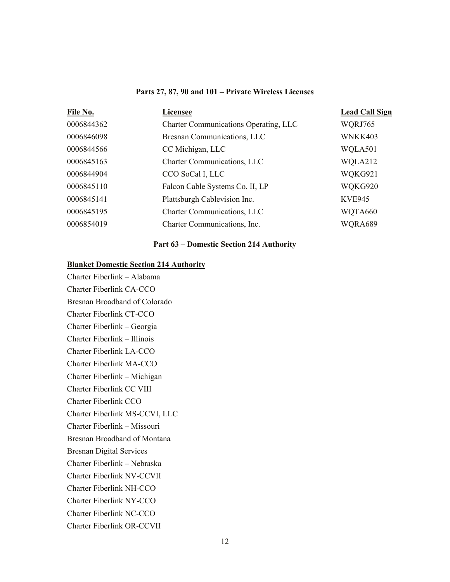#### **Parts 27, 87, 90 and 101 – Private Wireless Licenses**

| File No.   | <b>Licensee</b>                              | <b>Lead Call Sign</b> |
|------------|----------------------------------------------|-----------------------|
| 0006844362 | <b>Charter Communications Operating, LLC</b> | WQRJ765               |
| 0006846098 | Bresnan Communications, LLC                  | WNKK403               |
| 0006844566 | CC Michigan, LLC                             | WQLA501               |
| 0006845163 | <b>Charter Communications, LLC</b>           | WQLA212               |
| 0006844904 | CCO SoCal I, LLC                             | WQKG921               |
| 0006845110 | Falcon Cable Systems Co. II, LP              | WQKG920               |
| 0006845141 | Plattsburgh Cablevision Inc.                 | <b>KVE945</b>         |
| 0006845195 | Charter Communications, LLC                  | WQTA660               |
| 0006854019 | Charter Communications, Inc.                 | WQRA689               |
|            |                                              |                       |

### **Part 63 – Domestic Section 214 Authority**

## **Blanket Domestic Section 214 Authority**

Charter Fiberlink – Alabama Charter Fiberlink CA-CCO Bresnan Broadband of Colorado Charter Fiberlink CT-CCO Charter Fiberlink – Georgia Charter Fiberlink – Illinois Charter Fiberlink LA-CCO Charter Fiberlink MA-CCO Charter Fiberlink – Michigan Charter Fiberlink CC VIII Charter Fiberlink CCO Charter Fiberlink MS-CCVI, LLC Charter Fiberlink – Missouri Bresnan Broadband of Montana Bresnan Digital Services Charter Fiberlink – Nebraska Charter Fiberlink NV-CCVII Charter Fiberlink NH-CCO Charter Fiberlink NY-CCO Charter Fiberlink NC-CCO Charter Fiberlink OR-CCVII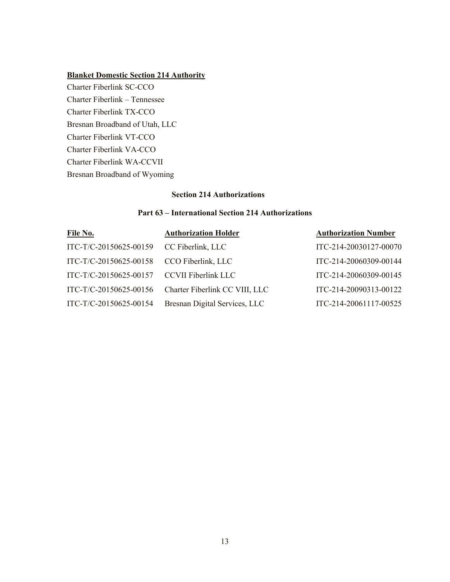# **Blanket Domestic Section 214 Authority**

Charter Fiberlink SC-CCO Charter Fiberlink – Tennessee Charter Fiberlink TX-CCO Bresnan Broadband of Utah, LLC Charter Fiberlink VT-CCO Charter Fiberlink VA-CCO Charter Fiberlink WA-CCVII Bresnan Broadband of Wyoming

# **Section 214 Authorizations**

# **Part 63 – International Section 214 Authorizations**

| File No.                                   | <b>Authorization Holder</b>    | <b>Authorization Number</b> |
|--------------------------------------------|--------------------------------|-----------------------------|
| ITC-T/C-20150625-00159                     | CC Fiberlink, LLC              | ITC-214-20030127-00070      |
| ITC-T/C-20150625-00158                     | CCO Fiberlink, LLC             | ITC-214-20060309-00144      |
| ITC-T/C-20150625-00157 CCVII Fiberlink LLC |                                | ITC-214-20060309-00145      |
| ITC-T/C-20150625-00156                     | Charter Fiberlink CC VIII, LLC | ITC-214-20090313-00122      |
| ITC-T/C-20150625-00154                     | Bresnan Digital Services, LLC  | ITC-214-20061117-00525      |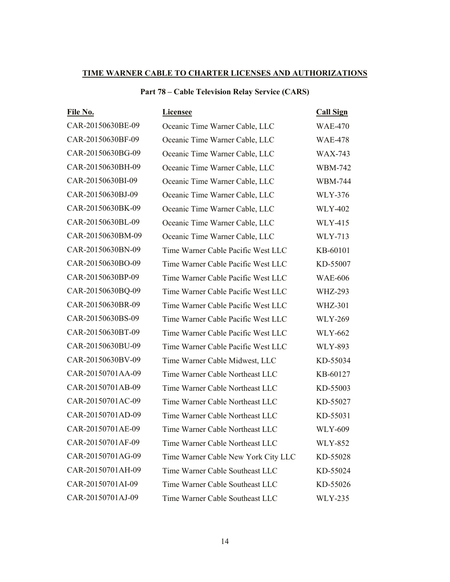# **TIME WARNER CABLE TO CHARTER LICENSES AND AUTHORIZATIONS**

| <b>Part 78 – Cable Television Relay Service (CARS)</b> |  |  |  |
|--------------------------------------------------------|--|--|--|
|--------------------------------------------------------|--|--|--|

| File No.          | <b>Licensee</b>                     | <b>Call Sign</b> |
|-------------------|-------------------------------------|------------------|
| CAR-20150630BE-09 | Oceanic Time Warner Cable, LLC      | <b>WAE-470</b>   |
| CAR-20150630BF-09 | Oceanic Time Warner Cable, LLC      | <b>WAE-478</b>   |
| CAR-20150630BG-09 | Oceanic Time Warner Cable, LLC      | <b>WAX-743</b>   |
| CAR-20150630BH-09 | Oceanic Time Warner Cable, LLC      | <b>WBM-742</b>   |
| CAR-20150630BI-09 | Oceanic Time Warner Cable, LLC      | <b>WBM-744</b>   |
| CAR-20150630BJ-09 | Oceanic Time Warner Cable, LLC      | <b>WLY-376</b>   |
| CAR-20150630BK-09 | Oceanic Time Warner Cable, LLC      | <b>WLY-402</b>   |
| CAR-20150630BL-09 | Oceanic Time Warner Cable, LLC      | <b>WLY-415</b>   |
| CAR-20150630BM-09 | Oceanic Time Warner Cable, LLC      | WLY-713          |
| CAR-20150630BN-09 | Time Warner Cable Pacific West LLC  | KB-60101         |
| CAR-20150630BO-09 | Time Warner Cable Pacific West LLC  | KD-55007         |
| CAR-20150630BP-09 | Time Warner Cable Pacific West LLC  | <b>WAE-606</b>   |
| CAR-20150630BQ-09 | Time Warner Cable Pacific West LLC  | <b>WHZ-293</b>   |
| CAR-20150630BR-09 | Time Warner Cable Pacific West LLC  | <b>WHZ-301</b>   |
| CAR-20150630BS-09 | Time Warner Cable Pacific West LLC  | <b>WLY-269</b>   |
| CAR-20150630BT-09 | Time Warner Cable Pacific West LLC  | <b>WLY-662</b>   |
| CAR-20150630BU-09 | Time Warner Cable Pacific West LLC  | <b>WLY-893</b>   |
| CAR-20150630BV-09 | Time Warner Cable Midwest, LLC      | KD-55034         |
| CAR-20150701AA-09 | Time Warner Cable Northeast LLC     | KB-60127         |
| CAR-20150701AB-09 | Time Warner Cable Northeast LLC     | KD-55003         |
| CAR-20150701AC-09 | Time Warner Cable Northeast LLC     | KD-55027         |
| CAR-20150701AD-09 | Time Warner Cable Northeast LLC     | KD-55031         |
| CAR-20150701AE-09 | Time Warner Cable Northeast LLC     | <b>WLY-609</b>   |
| CAR-20150701AF-09 | Time Warner Cable Northeast LLC     | <b>WLY-852</b>   |
| CAR-20150701AG-09 | Time Warner Cable New York City LLC | KD-55028         |
| CAR-20150701AH-09 | Time Warner Cable Southeast LLC     | KD-55024         |
| CAR-20150701AI-09 | Time Warner Cable Southeast LLC     | KD-55026         |
| CAR-20150701AJ-09 | Time Warner Cable Southeast LLC     | <b>WLY-235</b>   |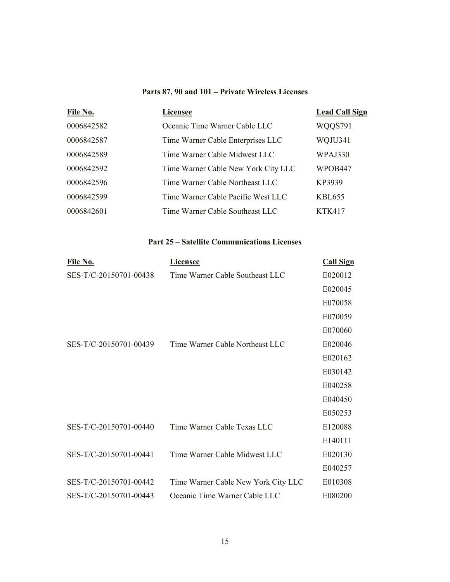# **Parts 87, 90 and 101 – Private Wireless Licenses**

| File No.   | <b>Licensee</b>                     | <b>Lead Call Sign</b> |
|------------|-------------------------------------|-----------------------|
| 0006842582 | Oceanic Time Warner Cable LLC       | WQQS791               |
| 0006842587 | Time Warner Cable Enterprises LLC   | WQJU341               |
| 0006842589 | Time Warner Cable Midwest LLC       | WPAJ330               |
| 0006842592 | Time Warner Cable New York City LLC | <b>WPOB447</b>        |
| 0006842596 | Time Warner Cable Northeast LLC     | KP3939                |
| 0006842599 | Time Warner Cable Pacific West LLC  | KBL655                |
| 0006842601 | Time Warner Cable Southeast LLC     | <b>KTK417</b>         |

# **Part 25 – Satellite Communications Licenses**

| File No.               | <b>Licensee</b>                     | <b>Call Sign</b> |
|------------------------|-------------------------------------|------------------|
| SES-T/C-20150701-00438 | Time Warner Cable Southeast LLC     | E020012          |
|                        |                                     | E020045          |
|                        |                                     | E070058          |
|                        |                                     | E070059          |
|                        |                                     | E070060          |
| SES-T/C-20150701-00439 | Time Warner Cable Northeast LLC     | E020046          |
|                        |                                     | E020162          |
|                        |                                     | E030142          |
|                        |                                     | E040258          |
|                        |                                     | E040450          |
|                        |                                     | E050253          |
| SES-T/C-20150701-00440 | Time Warner Cable Texas LLC         | E120088          |
|                        |                                     | E140111          |
| SES-T/C-20150701-00441 | Time Warner Cable Midwest LLC       | E020130          |
|                        |                                     | E040257          |
| SES-T/C-20150701-00442 | Time Warner Cable New York City LLC | E010308          |
| SES-T/C-20150701-00443 | Oceanic Time Warner Cable LLC       | E080200          |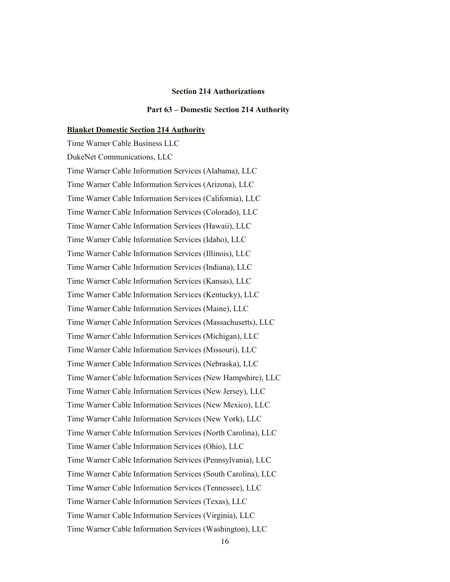#### **Section 214 Authorizations**

#### **Part 63 – Domestic Section 214 Authority**

#### **Blanket Domestic Section 214 Authority**

Time Warner Cable Business LLC DukeNet Communications, LLC Time Warner Cable Information Services (Alabama), LLC Time Warner Cable Information Services (Arizona), LLC Time Warner Cable Information Services (California), LLC Time Warner Cable Information Services (Colorado), LLC Time Warner Cable Information Services (Hawaii), LLC Time Warner Cable Information Services (Idaho), LLC Time Warner Cable Information Services (Illinois), LLC Time Warner Cable Information Services (Indiana), LLC Time Warner Cable Information Services (Kansas), LLC Time Warner Cable Information Services (Kentucky), LLC Time Warner Cable Information Services (Maine), LLC Time Warner Cable Information Services (Massachusetts), LLC Time Warner Cable Information Services (Michigan), LLC Time Warner Cable Information Services (Missouri), LLC Time Warner Cable Information Services (Nebraska), LLC Time Warner Cable Information Services (New Hampshire), LLC Time Warner Cable Information Services (New Jersey), LLC Time Warner Cable Information Services (New Mexico), LLC Time Warner Cable Information Services (New York), LLC Time Warner Cable Information Services (North Carolina), LLC Time Warner Cable Information Services (Ohio), LLC Time Warner Cable Information Services (Pennsylvania), LLC Time Warner Cable Information Services (South Carolina), LLC Time Warner Cable Information Services (Tennessee), LLC Time Warner Cable Information Services (Texas), LLC Time Warner Cable Information Services (Virginia), LLC Time Warner Cable Information Services (Washington), LLC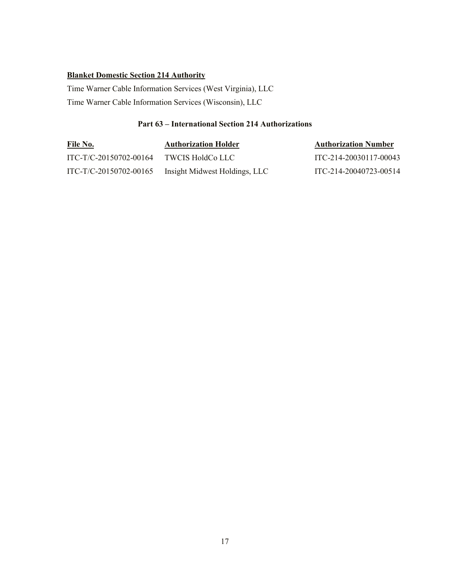# **Blanket Domestic Section 214 Authority**

Time Warner Cable Information Services (West Virginia), LLC Time Warner Cable Information Services (Wisconsin), LLC

# **Part 63 – International Section 214 Authorizations**

| <u>File No.</u>        | <b>Authorization Holder</b>   | <b>Authorization Number</b> |
|------------------------|-------------------------------|-----------------------------|
| ITC-T/C-20150702-00164 | - TWCIS HoldCo LLC            | ITC-214-20030117-00043      |
| ITC-T/C-20150702-00165 | Insight Midwest Holdings, LLC | ITC-214-20040723-00514      |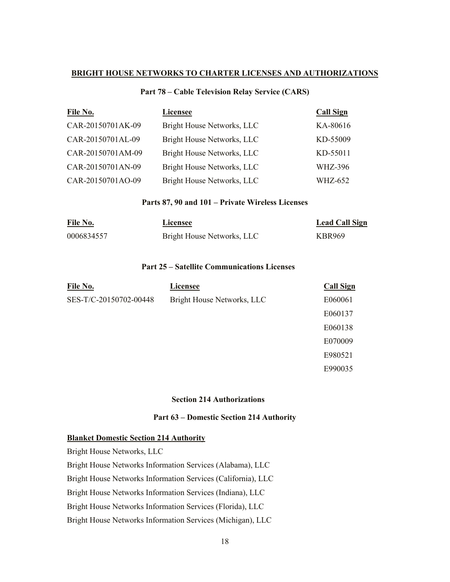## **BRIGHT HOUSE NETWORKS TO CHARTER LICENSES AND AUTHORIZATIONS**

# **Part 78 – Cable Television Relay Service (CARS)**

| File No.          | <b>Licensee</b>            | <b>Call Sign</b> |
|-------------------|----------------------------|------------------|
| CAR-20150701AK-09 | Bright House Networks, LLC | KA-80616         |
| CAR-20150701AL-09 | Bright House Networks, LLC | KD-55009         |
| CAR-20150701AM-09 | Bright House Networks, LLC | KD-55011         |
| CAR-20150701AN-09 | Bright House Networks, LLC | WHZ-396          |
| CAR-20150701AO-09 | Bright House Networks, LLC | <b>WHZ-652</b>   |

## **Parts 87, 90 and 101 – Private Wireless Licenses**

| File No.   | <b>Licensee</b>            | <b>Lead Call Sign</b> |
|------------|----------------------------|-----------------------|
| 0006834557 | Bright House Networks, LLC | <b>KBR969</b>         |

# **Part 25 – Satellite Communications Licenses**

| File No.               | <b>Licensee</b>            | <b>Call Sign</b> |
|------------------------|----------------------------|------------------|
| SES-T/C-20150702-00448 | Bright House Networks, LLC | E060061          |
|                        |                            | E060137          |
|                        |                            | E060138          |
|                        |                            | E070009          |
|                        |                            | E980521          |
|                        |                            | E990035          |
|                        |                            |                  |

### **Section 214 Authorizations**

### **Part 63 – Domestic Section 214 Authority**

## **Blanket Domestic Section 214 Authority**

Bright House Networks, LLC Bright House Networks Information Services (Alabama), LLC Bright House Networks Information Services (California), LLC Bright House Networks Information Services (Indiana), LLC Bright House Networks Information Services (Florida), LLC Bright House Networks Information Services (Michigan), LLC